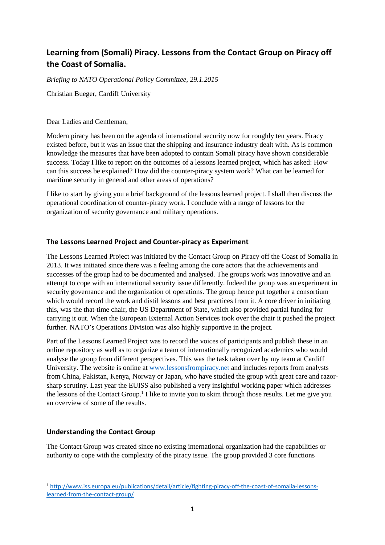# **Learning from (Somali) Piracy. Lessons from the Contact Group on Piracy off the Coast of Somalia.**

*Briefing to NATO Operational Policy Committee, 29.1.2015*

Christian Bueger, Cardiff University

Dear Ladies and Gentleman,

Modern piracy has been on the agenda of international security now for roughly ten years. Piracy existed before, but it was an issue that the shipping and insurance industry dealt with. As is common knowledge the measures that have been adopted to contain Somali piracy have shown considerable success. Today I like to report on the outcomes of a lessons learned project, which has asked: How can this success be explained? How did the counter-piracy system work? What can be learned for maritime security in general and other areas of operations?

I like to start by giving you a brief background of the lessons learned project. I shall then discuss the operational coordination of counter-piracy work. I conclude with a range of lessons for the organization of security governance and military operations.

#### **The Lessons Learned Project and Counter-piracy as Experiment**

The Lessons Learned Project was initiated by the Contact Group on Piracy off the Coast of Somalia in 2013. It was initiated since there was a feeling among the core actors that the achievements and successes of the group had to be documented and analysed. The groups work was innovative and an attempt to cope with an international security issue differently. Indeed the group was an experiment in security governance and the organization of operations. The group hence put together a consortium which would record the work and distil lessons and best practices from it. A core driver in initiating this, was the that-time chair, the US Department of State, which also provided partial funding for carrying it out. When the European External Action Services took over the chair it pushed the project further. NATO's Operations Division was also highly supportive in the project.

Part of the Lessons Learned Project was to record the voices of participants and publish these in an online repository as well as to organize a team of internationally recognized academics who would analyse the group from different perspectives. This was the task taken over by my team at Cardiff University. The website is online at www.lessonsfrompiracy.net and includes reports from analysts from China, Pakistan, Kenya, Norway or Japan, who have studied the group with great care and razor sharp scrutiny. Last year the EUISS also published a very insightful working paper which addresses the lessons of the Contact Group.<sup>1</sup> I like to invite you to skim through those results. Let me give you an overview of some of the results.

## **Understanding the Contact Group**

The Contact Group was created since no existing international organization had the capabilities or authority to cope with the complexity of the piracy issue. The group provided 3 core functions

<sup>1</sup> http://www.iss.europa.eu/publications/detail/article/fighting-piracy-off-the-coast-of-somalia-lessonslearned-from-the-contact-group/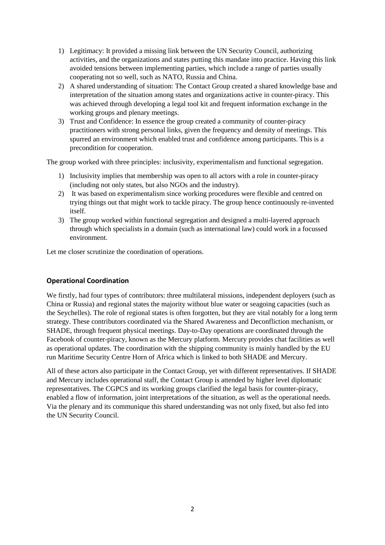- 1) Legitimacy: It provided a missing link between the UN Security Council, authorizing activities, and the organizations and states putting this mandate into practice. Having this link avoided tensions between implementing parties, which include a range of parties usually cooperating not so well, such as NATO, Russia and China.
- 2) A shared understanding of situation: The Contact Group created a shared knowledge base and interpretation of the situation among states and organizations active in counter-piracy. This was achieved through developing a legal tool kit and frequent information exchange in the working groups and plenary meetings.
- 3) Trust and Confidence: In essence the group created a community of counter-piracy practitioners with strong personal links, given the frequency and density of meetings. This spurred an environment which enabled trust and confidence among participants. This is a precondition for cooperation.

The group worked with three principles: inclusivity, experimentalism and functional segregation.

- 1) Inclusivity implies that membership was open to all actors with a role in counter-piracy (including not only states, but also NGOs and the industry).
- 2) It was based on experimentalism since working procedures were flexible and centred on trying things out that might work to tackle piracy. The group hence continuously re-invented itself.
- 3) The group worked within functional segregation and designed a multi-layered approach through which specialists in a domain (such as international law) could work in a focussed environment.

Let me closer scrutinize the coordination of operations.

## **Operational Coordination**

We firstly, had four types of contributors: three multilateral missions, independent deployers (such as China or Russia) and regional states the majority without blue water or seagoing capacities (such as the Seychelles). The role of regional states is often forgotten, but they are vital notably for a long term strategy. These contributors coordinated via the Shared Awareness and Deconfliction mechanism, or SHADE, through frequent physical meetings. Day-to-Day operations are coordinated through the Facebook of counter-piracy, known as the Mercury platform. Mercury provides chat facilities as well as operational updates. The coordination with the shipping community is mainly handled by the EU run Maritime Security Centre Horn of Africa which is linked to both SHADE and Mercury.

All of these actors also participate in the Contact Group, yet with different representatives. If SHADE and Mercury includes operational staff, the Contact Group is attended by higher level diplomatic representatives. The CGPCS and its working groups clarified the legal basis for counter-piracy, enabled a flow of information, joint interpretations of the situation, as well as the operational needs. Via the plenary and its communique this shared understanding was not only fixed, but also fed into the UN Security Council.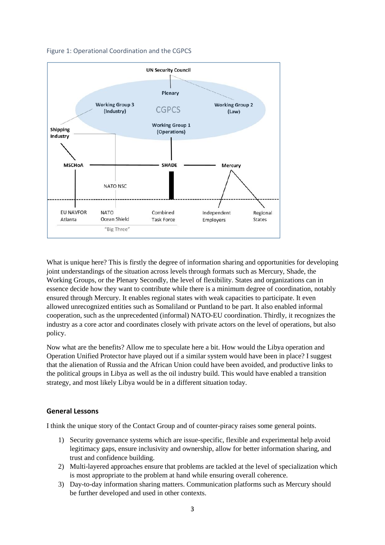



What is unique here? This is firstly the degree of information sharing and opportunities for developing joint understandings of the situation across levels through formats such as Mercury, Shade, the Working Groups, or the Plenary Secondly, the level of flexibility. States and organizations can in essence decide how they want to contribute while there is a minimum degree of coordination, notably ensured through Mercury. It enables regional states with weak capacities to participate. It even allowed unrecognized entities such as Somaliland or Puntland to be part. It also enabled informal cooperation, such as the unprecedented (informal) NATO-EU coordination. Thirdly, it recognizes the industry as a core actor and coordinates closely with private actors on the level of operations, but also policy.

Now what are the benefits? Allow me to speculate here a bit. How would the Libya operation and Operation Unified Protector have played out if a similar system would have been in place? I suggest that the alienation of Russia and the African Union could have been avoided, and productive links to the political groups in Libya as well as the oil industry build. This would have enabled a transition strategy, and most likely Libya would be in a different situation today.

#### **General Lessons**

I think the unique story of the Contact Group and of counter-piracy raises some general points.

- 1) Security governance systems which are issue-specific, flexible and experimental help avoid legitimacy gaps, ensure inclusivity and ownership, allow for better information sharing, and trust and confidence building.
- 2) Multi-layered approaches ensure that problems are tackled at the level of specialization which is most appropriate to the problem at hand while ensuring overall coherence.
- 3) Day-to-day information sharing matters. Communication platforms such as Mercury should be further developed and used in other contexts.